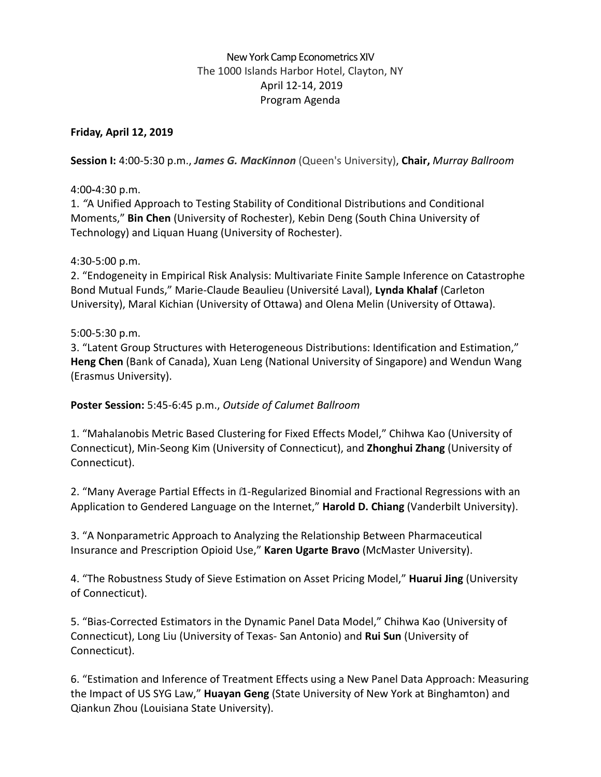# New York Camp Econometrics XIV The 1000 Islands Harbor Hotel, Clayton, NY April 12-14, 2019 Program Agenda

# **Friday, April 12, 2019**

**Session I:** 4:00-5:30 p.m., *James G. MacKinnon* (Queen's University), **Chair,** *Murray Ballroom*

## 4:00**-**4:30 p.m.

1. *"*A Unified Approach to Testing Stability of Conditional Distributions and Conditional Moments," **Bin Chen** (University of Rochester), Kebin Deng (South China University of Technology) and Liquan Huang (University of Rochester).

## 4:30-5:00 p.m.

2. "Endogeneity in Empirical Risk Analysis: Multivariate Finite Sample Inference on Catastrophe Bond Mutual Funds," Marie-Claude Beaulieu (Université Laval), **Lynda Khalaf** (Carleton University), Maral Kichian (University of Ottawa) and Olena Melin (University of Ottawa).

### 5:00-5:30 p.m.

3. "Latent Group Structures with Heterogeneous Distributions: Identification and Estimation," **Heng Chen** (Bank of Canada), Xuan Leng (National University of Singapore) and Wendun Wang (Erasmus University).

## **Poster Session:** 5:45-6:45 p.m., *Outside of Calumet Ballroom*

1. "Mahalanobis Metric Based Clustering for Fixed Effects Model," Chihwa Kao (University of Connecticut), Min-Seong Kim (University of Connecticut), and **Zhonghui Zhang** (University of Connecticut).

2. "Many Average Partial Effects in  $\ell$ 1-Regularized Binomial and Fractional Regressions with an Application to Gendered Language on the Internet," **Harold D. Chiang** (Vanderbilt University).

3. "A Nonparametric Approach to Analyzing the Relationship Between Pharmaceutical Insurance and Prescription Opioid Use," **Karen Ugarte Bravo** (McMaster University).

4. "The Robustness Study of Sieve Estimation on Asset Pricing Model," **Huarui Jing** (University of Connecticut).

5. "Bias-Corrected Estimators in the Dynamic Panel Data Model," Chihwa Kao (University of Connecticut), Long Liu (University of Texas- San Antonio) and **Rui Sun** (University of Connecticut).

6. "Estimation and Inference of Treatment Effects using a New Panel Data Approach: Measuring the Impact of US SYG Law," **Huayan Geng** (State University of New York at Binghamton) and Qiankun Zhou (Louisiana State University).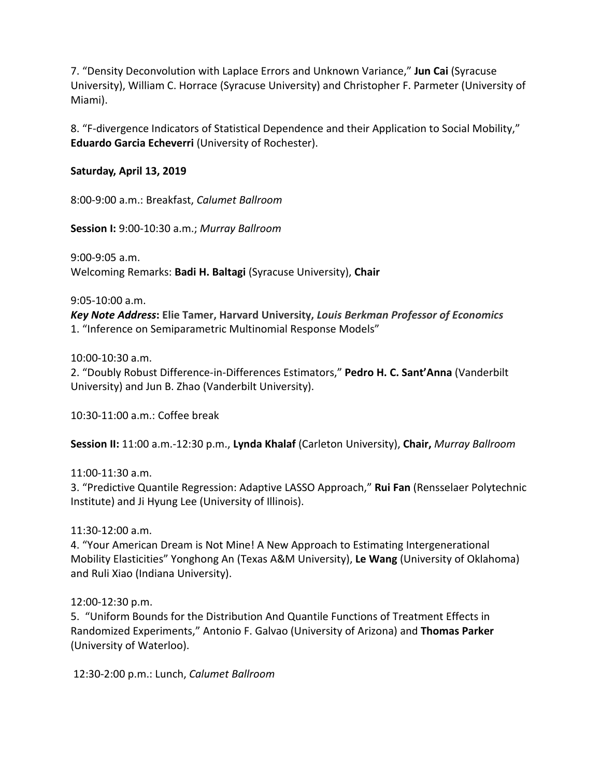7. "Density Deconvolution with Laplace Errors and Unknown Variance," **Jun Cai** (Syracuse University), William C. Horrace (Syracuse University) and Christopher F. Parmeter (University of Miami).

8. "F-divergence Indicators of Statistical Dependence and their Application to Social Mobility," **Eduardo Garcia Echeverri** (University of Rochester).

### **Saturday, April 13, 2019**

8:00-9:00 a.m.: Breakfast, *Calumet Ballroom*

**Session I:** 9:00-10:30 a.m.; *Murray Ballroom*

9:00-9:05 a.m. Welcoming Remarks: **Badi H. Baltagi** (Syracuse University), **Chair**

9:05-10:00 a.m.

*Key Note Address***: Elie Tamer, Harvard University,** *Louis Berkman Professor of Economics* 1. "Inference on Semiparametric Multinomial Response Models"

10:00-10:30 a.m.

2. "Doubly Robust Difference-in-Differences Estimators," **Pedro H. C. Sant'Anna** (Vanderbilt University) and Jun B. Zhao (Vanderbilt University).

10:30-11:00 a.m.: Coffee break

**Session II:** 11:00 a.m.-12:30 p.m., **Lynda Khalaf** (Carleton University), **Chair,** *Murray Ballroom*

11:00-11:30 a.m.

3. "Predictive Quantile Regression: Adaptive LASSO Approach," **Rui Fan** (Rensselaer Polytechnic Institute) and Ji Hyung Lee (University of Illinois).

11:30-12:00 a.m.

4. "Your American Dream is Not Mine! A New Approach to Estimating Intergenerational Mobility Elasticities" Yonghong An (Texas A&M University), **Le Wang** (University of Oklahoma) and Ruli Xiao (Indiana University).

12:00-12:30 p.m.

5. "Uniform Bounds for the Distribution And Quantile Functions of Treatment Effects in Randomized Experiments," Antonio F. Galvao (University of Arizona) and **Thomas Parker** (University of Waterloo).

12:30-2:00 p.m.: Lunch, *Calumet Ballroom*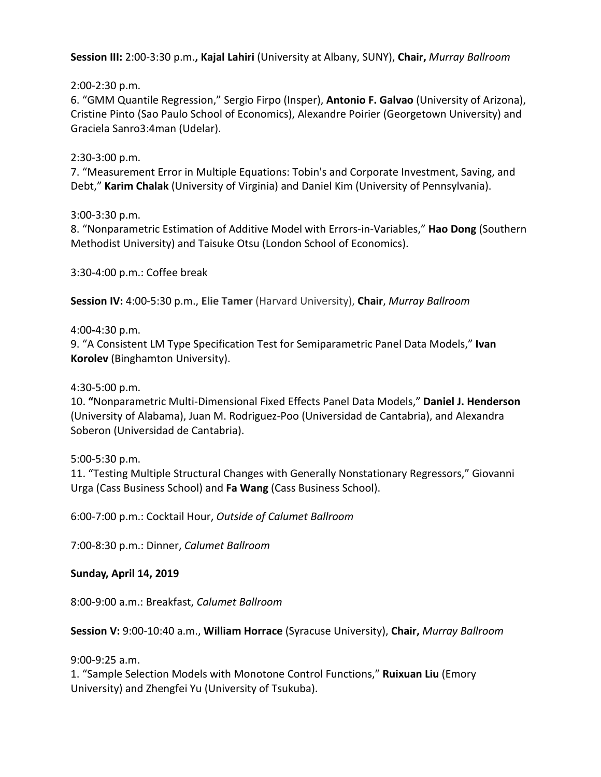**Session III:** 2:00-3:30 p.m.**, Kajal Lahiri** (University at Albany, SUNY), **Chair,** *Murray Ballroom*

2:00-2:30 p.m.

6. "GMM Quantile Regression," Sergio Firpo (Insper), **Antonio F. Galvao** (University of Arizona), Cristine Pinto (Sao Paulo School of Economics), Alexandre Poirier (Georgetown University) and Graciela Sanro3:4man (Udelar).

2:30-3:00 p.m.

7. "Measurement Error in Multiple Equations: Tobin's and Corporate Investment, Saving, and Debt," **Karim Chalak** (University of Virginia) and Daniel Kim (University of Pennsylvania).

3:00-3:30 p.m.

8. "Nonparametric Estimation of Additive Model with Errors-in-Variables," **Hao Dong** (Southern Methodist University) and Taisuke Otsu (London School of Economics).

3:30-4:00 p.m.: Coffee break

**Session IV:** 4:00-5:30 p.m., **Elie Tamer** (Harvard University), **Chair**, *Murray Ballroom*

4:00**-**4:30 p.m.

9. "A Consistent LM Type Specification Test for Semiparametric Panel Data Models," **Ivan Korolev** (Binghamton University).

4:30-5:00 p.m.

10. **"**Nonparametric Multi-Dimensional Fixed Effects Panel Data Models," **Daniel J. Henderson** (University of Alabama), Juan M. Rodriguez-Poo (Universidad de Cantabria), and Alexandra Soberon (Universidad de Cantabria).

5:00-5:30 p.m.

11. "Testing Multiple Structural Changes with Generally Nonstationary Regressors," Giovanni Urga (Cass Business School) and **Fa Wang** (Cass Business School).

6:00-7:00 p.m.: Cocktail Hour, *Outside of Calumet Ballroom*

7:00-8:30 p.m.: Dinner, *Calumet Ballroom*

### **Sunday, April 14, 2019**

8:00-9:00 a.m.: Breakfast, *Calumet Ballroom*

### **Session V:** 9:00-10:40 a.m., **William Horrace** (Syracuse University), **Chair,** *Murray Ballroom*

9:00-9:25 a.m.

1. "Sample Selection Models with Monotone Control Functions," **Ruixuan Liu** (Emory University) and Zhengfei Yu (University of Tsukuba).